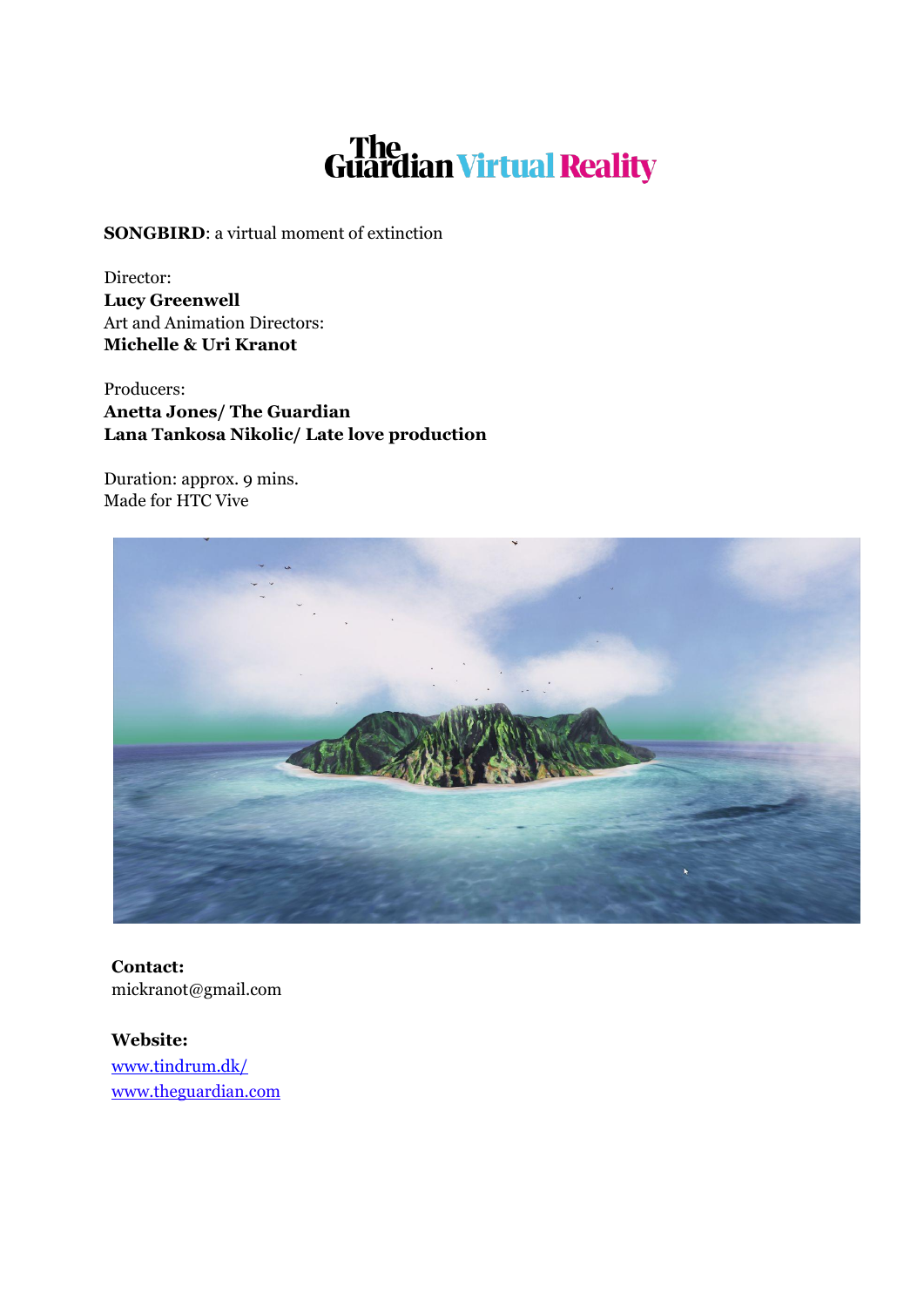# The Guardian Virtual Reality

**SONGBIRD**: a virtual moment of extinction

Director: **Lucy Greenwell** Art and Animation Directors: **Michelle & Uri Kranot**

Producers: **Anetta Jones/ The Guardian Lana Tankosa Nikolic/ Late love production**

Duration: approx. 9 mins. Made for HTC Vive



**Contact:** mickranot@gmail.com

**Website:** [www.tindrum.dk/](http://www.tindrum.dk/) www.theguardian.com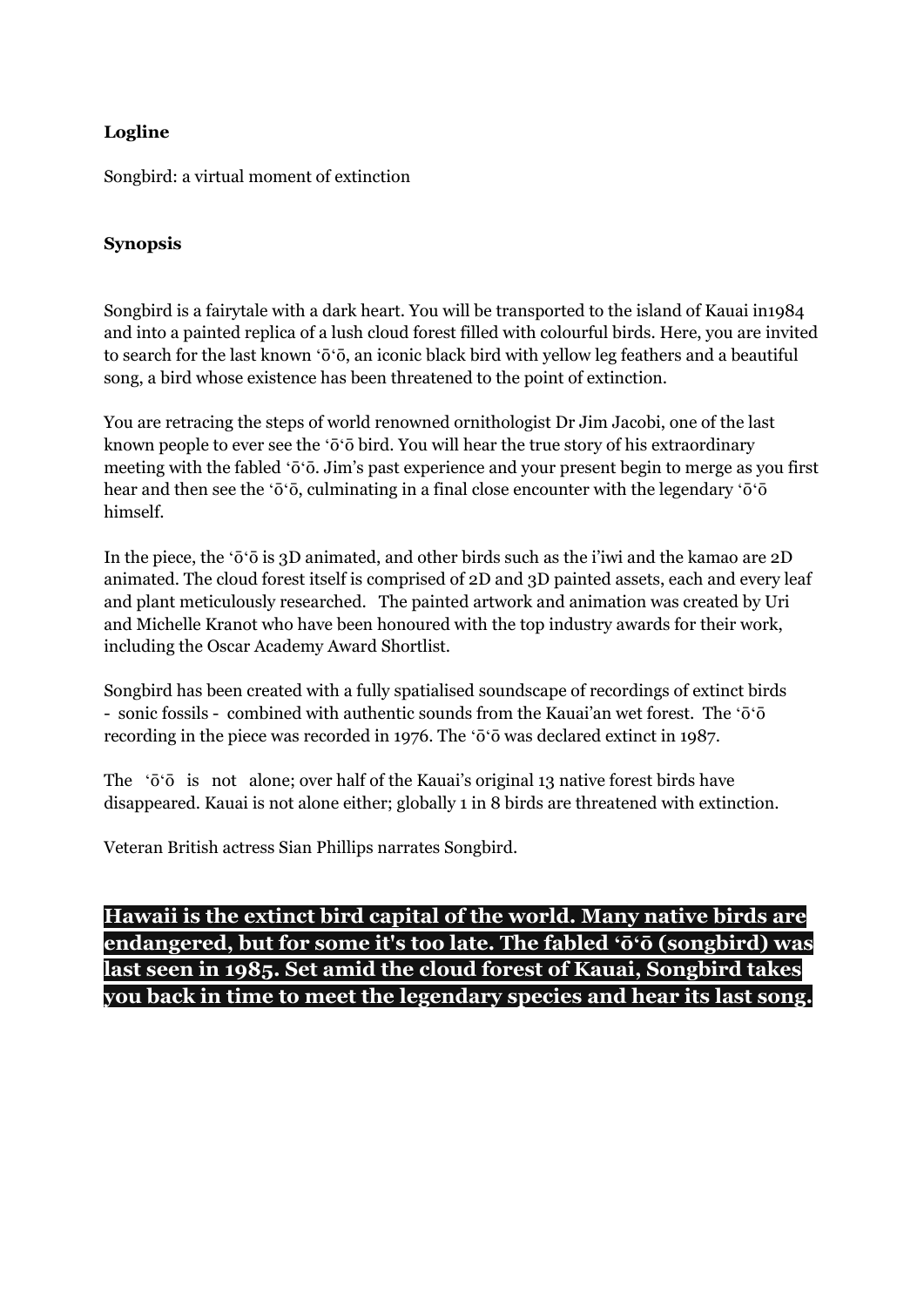## **Logline**

Songbird: a virtual moment of extinction

## **Synopsis**

Songbird is a fairytale with a dark heart. You will be transported to the island of Kauai in1984 and into a painted replica of a lush cloud forest filled with colourful birds. Here, you are invited to search for the last known ʻōʻō, an iconic black bird with yellow leg feathers and a beautiful song, a bird whose existence has been threatened to the point of extinction.

You are retracing the steps of world renowned ornithologist Dr Jim Jacobi, one of the last known people to ever see the ʻōʻō bird. You will hear the true story of his extraordinary meeting with the fabled ʻōʻō. Jim's past experience and your present begin to merge as you first hear and then see the ʻōʻō, culminating in a final close encounter with the legendary ʻōʻō himself.

In the piece, the ʻōʻō is 3D animated, and other birds such as the i'iwi and the kamao are 2D animated. The cloud forest itself is comprised of 2D and 3D painted assets, each and every leaf and plant meticulously researched. The painted artwork and animation was created by Uri and Michelle Kranot who have been honoured with the top industry awards for their work, including the Oscar Academy Award Shortlist.

Songbird has been created with a fully spatialised soundscape of recordings of extinct birds - sonic fossils - combined with authentic sounds from the Kauai'an wet forest. The ʻōʻō recording in the piece was recorded in 1976. The ʻōʻō was declared extinct in 1987.

The ʻōʻō is not alone; over half of the Kauai's original 13 native forest birds have disappeared. Kauai is not alone either; globally 1 in 8 birds are threatened with extinction.

Veteran British actress Sian Phillips narrates Songbird.

# **Hawaii is the extinct bird capital of the world. Many native birds are endangered, but for some it's too late. The fabled ʻōʻō (songbird) was last seen in 1985. Set amid the cloud forest of Kauai, Songbird takes you back in time to meet the legendary species and hear its last song.**